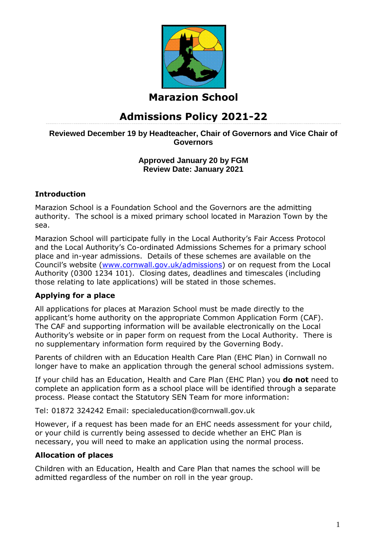

# **Marazion School**

# **Admissions Policy 2021-22**

## **Reviewed December 19 by Headteacher, Chair of Governors and Vice Chair of Governors**

## **Approved January 20 by FGM Review Date: January 2021**

## **Introduction**

Marazion School is a Foundation School and the Governors are the admitting authority. The school is a mixed primary school located in Marazion Town by the sea.

Marazion School will participate fully in the Local Authority's Fair Access Protocol and the Local Authority's Co-ordinated Admissions Schemes for a primary school place and in-year admissions. Details of these schemes are available on the Council's website ([www.cornwall.gov.uk/admissions\)](http://www.cornwall.gov.uk/admissions) or on request from the Local Authority (0300 1234 101). Closing dates, deadlines and timescales (including those relating to late applications) will be stated in those schemes.

# **Applying for a place**

All applications for places at Marazion School must be made directly to the applicant's home authority on the appropriate Common Application Form (CAF). The CAF and supporting information will be available electronically on the Local Authority's website or in paper form on request from the Local Authority. There is no supplementary information form required by the Governing Body.

Parents of children with an Education Health Care Plan (EHC Plan) in Cornwall no longer have to make an application through the general school admissions system.

If your child has an Education, Health and Care Plan (EHC Plan) you **do not** need to complete an application form as a school place will be identified through a separate process. Please contact the Statutory SEN Team for more information:

Tel: 01872 324242 Email: specialeducation@cornwall.gov.uk

However, if a request has been made for an EHC needs assessment for your child, or your child is currently being assessed to decide whether an EHC Plan is necessary, you will need to make an application using the normal process.

## **Allocation of places**

Children with an Education, Health and Care Plan that names the school will be admitted regardless of the number on roll in the year group.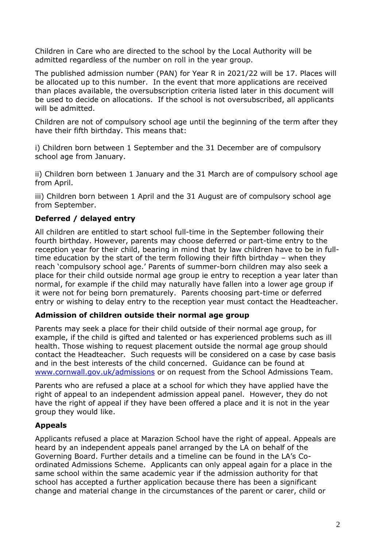Children in Care who are directed to the school by the Local Authority will be admitted regardless of the number on roll in the year group.

The published admission number (PAN) for Year R in 2021/22 will be 17. Places will be allocated up to this number. In the event that more applications are received than places available, the oversubscription criteria listed later in this document will be used to decide on allocations. If the school is not oversubscribed, all applicants will be admitted.

Children are not of compulsory school age until the beginning of the term after they have their fifth birthday. This means that:

i) Children born between 1 September and the 31 December are of compulsory school age from January.

ii) Children born between 1 January and the 31 March are of compulsory school age from April.

iii) Children born between 1 April and the 31 August are of compulsory school age from September.

## **Deferred / delayed entry**

All children are entitled to start school full-time in the September following their fourth birthday. However, parents may choose deferred or part-time entry to the reception year for their child, bearing in mind that by law children have to be in fulltime education by the start of the term following their fifth birthday – when they reach 'compulsory school age.' Parents of summer-born children may also seek a place for their child outside normal age group ie entry to reception a year later than normal, for example if the child may naturally have fallen into a lower age group if it were not for being born prematurely. Parents choosing part-time or deferred entry or wishing to delay entry to the reception year must contact the Headteacher.

#### **Admission of children outside their normal age group**

Parents may seek a place for their child outside of their normal age group, for example, if the child is gifted and talented or has experienced problems such as ill health. Those wishing to request placement outside the normal age group should contact the Headteacher. Such requests will be considered on a case by case basis and in the best interests of the child concerned. Guidance can be found at [www.cornwall.gov.uk/admissions](http://www.cornwall.gov.uk/education-and-learning/schools-and-colleges/school-admissions) or on request from the School Admissions Team.

Parents who are refused a place at a school for which they have applied have the right of appeal to an independent admission appeal panel. However, they do not have the right of appeal if they have been offered a place and it is not in the year group they would like.

## **Appeals**

Applicants refused a place at Marazion School have the right of appeal. Appeals are heard by an independent appeals panel arranged by the LA on behalf of the Governing Board. Further details and a timeline can be found in the LA's Coordinated Admissions Scheme. Applicants can only appeal again for a place in the same school within the same academic year if the admission authority for that school has accepted a further application because there has been a significant change and material change in the circumstances of the parent or carer, child or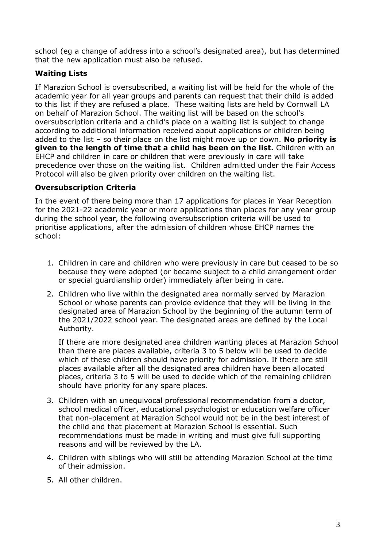school (eg a change of address into a school's designated area), but has determined that the new application must also be refused.

## **Waiting Lists**

If Marazion School is oversubscribed, a waiting list will be held for the whole of the academic year for all year groups and parents can request that their child is added to this list if they are refused a place. These waiting lists are held by Cornwall LA on behalf of Marazion School. The waiting list will be based on the school's oversubscription criteria and a child's place on a waiting list is subject to change according to additional information received about applications or children being added to the list – so their place on the list might move up or down. **No priority is given to the length of time that a child has been on the list.** Children with an EHCP and children in care or children that were previously in care will take precedence over those on the waiting list. Children admitted under the Fair Access Protocol will also be given priority over children on the waiting list.

## **Oversubscription Criteria**

In the event of there being more than 17 applications for places in Year Reception for the 2021-22 academic year or more applications than places for any year group during the school year, the following oversubscription criteria will be used to prioritise applications, after the admission of children whose EHCP names the school:

- 1. Children in care and children who were previously in care but ceased to be so because they were adopted (or became subject to a child arrangement order or special guardianship order) immediately after being in care.
- 2. Children who live within the designated area normally served by Marazion School or whose parents can provide evidence that they will be living in the designated area of Marazion School by the beginning of the autumn term of the 2021/2022 school year. The designated areas are defined by the Local Authority.

If there are more designated area children wanting places at Marazion School than there are places available, criteria 3 to 5 below will be used to decide which of these children should have priority for admission. If there are still places available after all the designated area children have been allocated places, criteria 3 to 5 will be used to decide which of the remaining children should have priority for any spare places.

- 3. Children with an unequivocal professional recommendation from a doctor, school medical officer, educational psychologist or education welfare officer that non-placement at Marazion School would not be in the best interest of the child and that placement at Marazion School is essential. Such recommendations must be made in writing and must give full supporting reasons and will be reviewed by the LA.
- 4. Children with siblings who will still be attending Marazion School at the time of their admission.
- 5. All other children.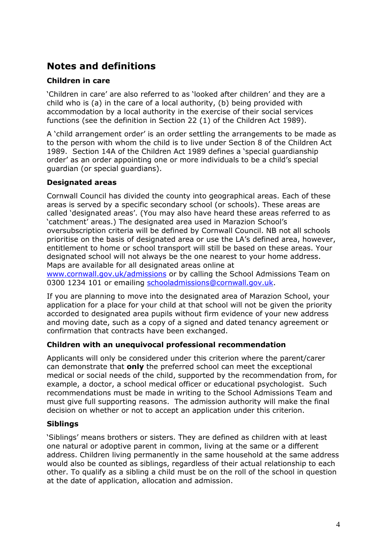# **Notes and definitions**

## **Children in care**

'Children in care' are also referred to as 'looked after children' and they are a child who is (a) in the care of a local authority, (b) being provided with accommodation by a local authority in the exercise of their social services functions (see the definition in Section 22 (1) of the Children Act 1989).

A 'child arrangement order' is an order settling the arrangements to be made as to the person with whom the child is to live under Section 8 of the Children Act 1989. Section 14A of the Children Act 1989 defines a 'special guardianship order' as an order appointing one or more individuals to be a child's special guardian (or special guardians).

## **Designated areas**

Cornwall Council has divided the county into geographical areas. Each of these areas is served by a specific secondary school (or schools). These areas are called 'designated areas'. (You may also have heard these areas referred to as 'catchment' areas.) The designated area used in Marazion School's oversubscription criteria will be defined by Cornwall Council. NB not all schools prioritise on the basis of designated area or use the LA's defined area, however, entitlement to home or school transport will still be based on these areas. Your designated school will not always be the one nearest to your home address. Maps are available for all designated areas online at

[www.cornwall.gov.uk/admissions](http://www.cornwall.gov.uk/admissions) or by calling the School Admissions Team on 0300 1234 101 or emailing [schooladmissions@cornwall.gov.uk.](mailto:schooladmissions@cornwall.gov.uk)

If you are planning to move into the designated area of Marazion School, your application for a place for your child at that school will not be given the priority accorded to designated area pupils without firm evidence of your new address and moving date, such as a copy of a signed and dated tenancy agreement or confirmation that contracts have been exchanged.

## **Children with an unequivocal professional recommendation**

Applicants will only be considered under this criterion where the parent/carer can demonstrate that **only** the preferred school can meet the exceptional medical or social needs of the child, supported by the recommendation from, for example, a doctor, a school medical officer or educational psychologist. Such recommendations must be made in writing to the School Admissions Team and must give full supporting reasons. The admission authority will make the final decision on whether or not to accept an application under this criterion.

## **Siblings**

'Siblings' means brothers or sisters. They are defined as children with at least one natural or adoptive parent in common, living at the same or a different address. Children living permanently in the same household at the same address would also be counted as siblings, regardless of their actual relationship to each other. To qualify as a sibling a child must be on the roll of the school in question at the date of application, allocation and admission.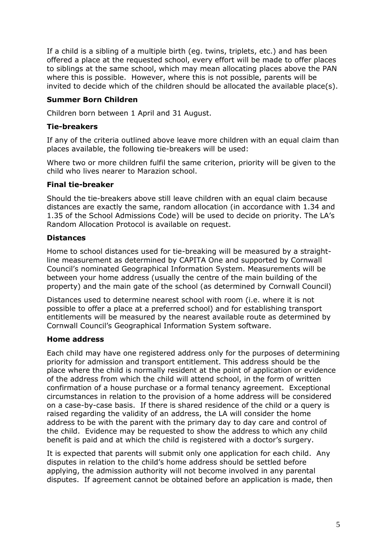If a child is a sibling of a multiple birth (eg. twins, triplets, etc.) and has been offered a place at the requested school, every effort will be made to offer places to siblings at the same school, which may mean allocating places above the PAN where this is possible. However, where this is not possible, parents will be invited to decide which of the children should be allocated the available place(s).

### **Summer Born Children**

Children born between 1 April and 31 August.

### **Tie-breakers**

If any of the criteria outlined above leave more children with an equal claim than places available, the following tie-breakers will be used:

Where two or more children fulfil the same criterion, priority will be given to the child who lives nearer to Marazion school.

#### **Final tie-breaker**

Should the tie-breakers above still leave children with an equal claim because distances are exactly the same, random allocation (in accordance with 1.34 and 1.35 of the School Admissions Code) will be used to decide on priority. The LA's Random Allocation Protocol is available on request.

### **Distances**

Home to school distances used for tie-breaking will be measured by a straightline measurement as determined by CAPITA One and supported by Cornwall Council's nominated Geographical Information System. Measurements will be between your home address (usually the centre of the main building of the property) and the main gate of the school (as determined by Cornwall Council)

Distances used to determine nearest school with room (i.e. where it is not possible to offer a place at a preferred school) and for establishing transport entitlements will be measured by the nearest available route as determined by Cornwall Council's Geographical Information System software.

#### **Home address**

Each child may have one registered address only for the purposes of determining priority for admission and transport entitlement. This address should be the place where the child is normally resident at the point of application or evidence of the address from which the child will attend school, in the form of written confirmation of a house purchase or a formal tenancy agreement. Exceptional circumstances in relation to the provision of a home address will be considered on a case-by-case basis. If there is shared residence of the child or a query is raised regarding the validity of an address, the LA will consider the home address to be with the parent with the primary day to day care and control of the child. Evidence may be requested to show the address to which any child benefit is paid and at which the child is registered with a doctor's surgery.

It is expected that parents will submit only one application for each child. Any disputes in relation to the child's home address should be settled before applying, the admission authority will not become involved in any parental disputes. If agreement cannot be obtained before an application is made, then